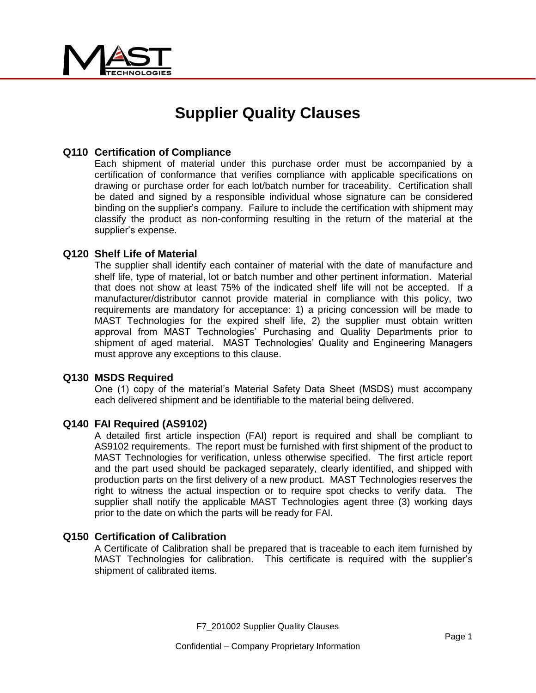

# **Supplier Quality Clauses**

# **Q110 Certification of Compliance**

Each shipment of material under this purchase order must be accompanied by a certification of conformance that verifies compliance with applicable specifications on drawing or purchase order for each lot/batch number for traceability. Certification shall be dated and signed by a responsible individual whose signature can be considered binding on the supplier's company. Failure to include the certification with shipment may classify the product as non-conforming resulting in the return of the material at the supplier's expense.

## **Q120 Shelf Life of Material**

The supplier shall identify each container of material with the date of manufacture and shelf life, type of material, lot or batch number and other pertinent information. Material that does not show at least 75% of the indicated shelf life will not be accepted. If a manufacturer/distributor cannot provide material in compliance with this policy, two requirements are mandatory for acceptance: 1) a pricing concession will be made to MAST Technologies for the expired shelf life, 2) the supplier must obtain written approval from MAST Technologies' Purchasing and Quality Departments prior to shipment of aged material. MAST Technologies' Quality and Engineering Managers must approve any exceptions to this clause.

#### **Q130 MSDS Required**

One (1) copy of the material's Material Safety Data Sheet (MSDS) must accompany each delivered shipment and be identifiable to the material being delivered.

#### **Q140 FAI Required (AS9102)**

A detailed first article inspection (FAI) report is required and shall be compliant to AS9102 requirements. The report must be furnished with first shipment of the product to MAST Technologies for verification, unless otherwise specified. The first article report and the part used should be packaged separately, clearly identified, and shipped with production parts on the first delivery of a new product. MAST Technologies reserves the right to witness the actual inspection or to require spot checks to verify data. The supplier shall notify the applicable MAST Technologies agent three (3) working days prior to the date on which the parts will be ready for FAI.

#### **Q150 Certification of Calibration**

A Certificate of Calibration shall be prepared that is traceable to each item furnished by MAST Technologies for calibration. This certificate is required with the supplier's shipment of calibrated items.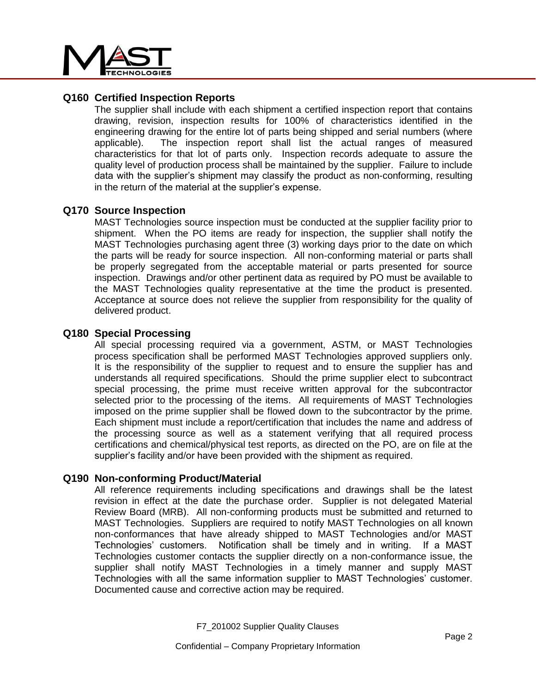

# **Q160 Certified Inspection Reports**

The supplier shall include with each shipment a certified inspection report that contains drawing, revision, inspection results for 100% of characteristics identified in the engineering drawing for the entire lot of parts being shipped and serial numbers (where applicable). The inspection report shall list the actual ranges of measured characteristics for that lot of parts only. Inspection records adequate to assure the quality level of production process shall be maintained by the supplier. Failure to include data with the supplier's shipment may classify the product as non-conforming, resulting in the return of the material at the supplier's expense.

## **Q170 Source Inspection**

MAST Technologies source inspection must be conducted at the supplier facility prior to shipment. When the PO items are ready for inspection, the supplier shall notify the MAST Technologies purchasing agent three (3) working days prior to the date on which the parts will be ready for source inspection. All non-conforming material or parts shall be properly segregated from the acceptable material or parts presented for source inspection. Drawings and/or other pertinent data as required by PO must be available to the MAST Technologies quality representative at the time the product is presented. Acceptance at source does not relieve the supplier from responsibility for the quality of delivered product.

## **Q180 Special Processing**

All special processing required via a government, ASTM, or MAST Technologies process specification shall be performed MAST Technologies approved suppliers only. It is the responsibility of the supplier to request and to ensure the supplier has and understands all required specifications. Should the prime supplier elect to subcontract special processing, the prime must receive written approval for the subcontractor selected prior to the processing of the items. All requirements of MAST Technologies imposed on the prime supplier shall be flowed down to the subcontractor by the prime. Each shipment must include a report/certification that includes the name and address of the processing source as well as a statement verifying that all required process certifications and chemical/physical test reports, as directed on the PO, are on file at the supplier's facility and/or have been provided with the shipment as required.

## **Q190 Non-conforming Product/Material**

All reference requirements including specifications and drawings shall be the latest revision in effect at the date the purchase order. Supplier is not delegated Material Review Board (MRB). All non-conforming products must be submitted and returned to MAST Technologies. Suppliers are required to notify MAST Technologies on all known non-conformances that have already shipped to MAST Technologies and/or MAST Technologies' customers. Notification shall be timely and in writing. If a MAST Technologies customer contacts the supplier directly on a non-conformance issue, the supplier shall notify MAST Technologies in a timely manner and supply MAST Technologies with all the same information supplier to MAST Technologies' customer. Documented cause and corrective action may be required.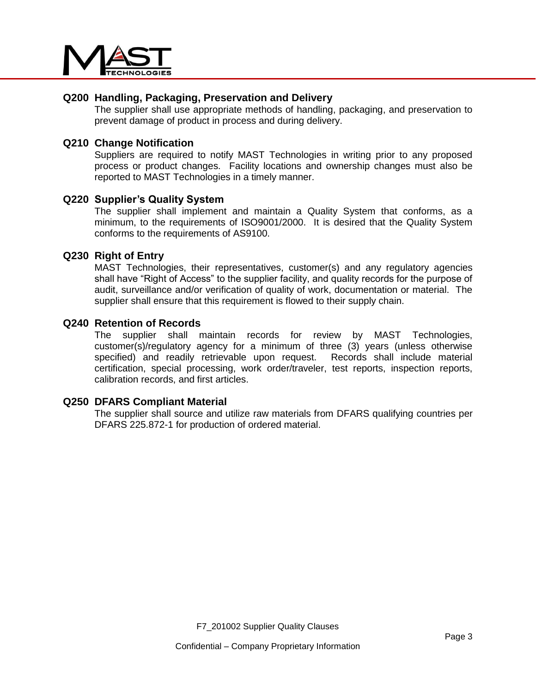

# **Q200 Handling, Packaging, Preservation and Delivery**

The supplier shall use appropriate methods of handling, packaging, and preservation to prevent damage of product in process and during delivery.

## **Q210 Change Notification**

Suppliers are required to notify MAST Technologies in writing prior to any proposed process or product changes. Facility locations and ownership changes must also be reported to MAST Technologies in a timely manner.

#### **Q220 Supplier's Quality System**

The supplier shall implement and maintain a Quality System that conforms, as a minimum, to the requirements of ISO9001/2000. It is desired that the Quality System conforms to the requirements of AS9100.

## **Q230 Right of Entry**

MAST Technologies, their representatives, customer(s) and any regulatory agencies shall have "Right of Access" to the supplier facility, and quality records for the purpose of audit, surveillance and/or verification of quality of work, documentation or material. The supplier shall ensure that this requirement is flowed to their supply chain.

## **Q240 Retention of Records**

The supplier shall maintain records for review by MAST Technologies, customer(s)/regulatory agency for a minimum of three (3) years (unless otherwise specified) and readily retrievable upon request. Records shall include material certification, special processing, work order/traveler, test reports, inspection reports, calibration records, and first articles.

#### **Q250 DFARS Compliant Material**

The supplier shall source and utilize raw materials from DFARS qualifying countries per DFARS 225.872-1 for production of ordered material.